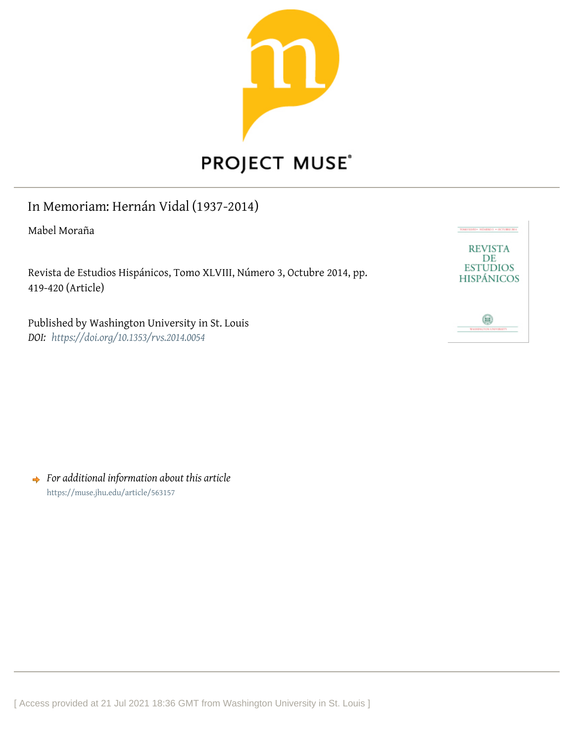

## In Memoriam: Hernán Vidal (1937-2014)

Mabel Moraña

Revista de Estudios Hispánicos, Tomo XLVIII, Número 3, Octubre 2014, pp. 419-420 (Article)

Published by Washington University in St. Louis *DOI: <https://doi.org/10.1353/rvs.2014.0054>*



*For additional information about this article* <https://muse.jhu.edu/article/563157>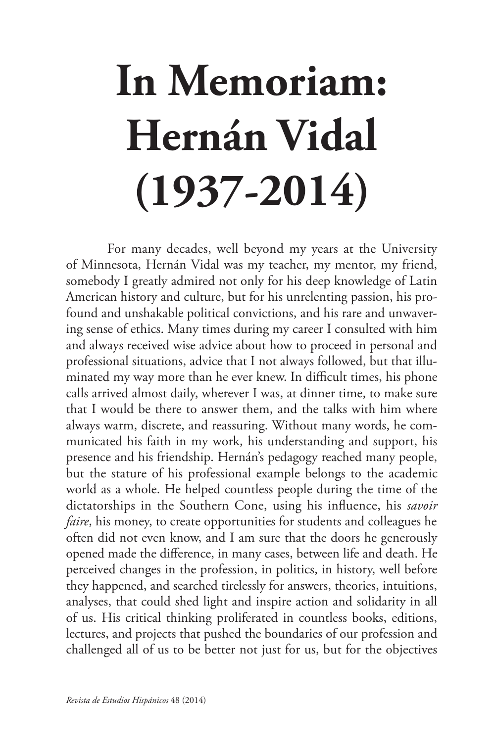## **In Memoriam: Hernán Vidal (1937-2014)**

For many decades, well beyond my years at the University of Minnesota, Hernán Vidal was my teacher, my mentor, my friend, somebody I greatly admired not only for his deep knowledge of Latin American history and culture, but for his unrelenting passion, his profound and unshakable political convictions, and his rare and unwavering sense of ethics. Many times during my career I consulted with him and always received wise advice about how to proceed in personal and professional situations, advice that I not always followed, but that illuminated my way more than he ever knew. In difficult times, his phone calls arrived almost daily, wherever I was, at dinner time, to make sure that I would be there to answer them, and the talks with him where always warm, discrete, and reassuring. Without many words, he communicated his faith in my work, his understanding and support, his presence and his friendship. Hernán's pedagogy reached many people, but the stature of his professional example belongs to the academic world as a whole. He helped countless people during the time of the dictatorships in the Southern Cone, using his influence, his *savoir faire*, his money, to create opportunities for students and colleagues he often did not even know, and I am sure that the doors he generously opened made the difference, in many cases, between life and death. He perceived changes in the profession, in politics, in history, well before they happened, and searched tirelessly for answers, theories, intuitions, analyses, that could shed light and inspire action and solidarity in all of us. His critical thinking proliferated in countless books, editions, lectures, and projects that pushed the boundaries of our profession and challenged all of us to be better not just for us, but for the objectives